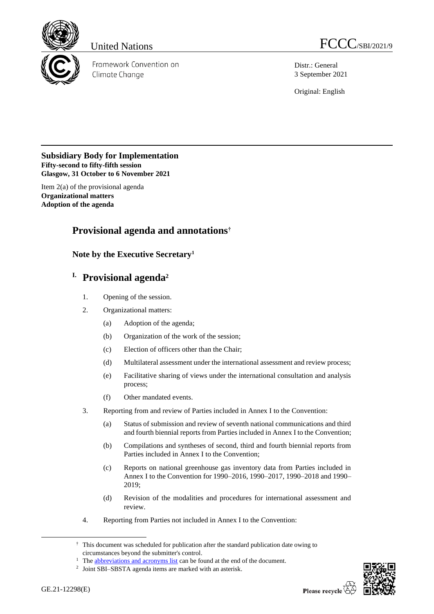

Framework Convention on Climate Change

United Nations FCCC/SBI/2021/9

Distr.: General 3 September 2021

Original: English

### **Subsidiary Body for Implementation Fifty-second to fifty-fifth session Glasgow, 31 October to 6 November 2021**

Item 2(a) of the provisional agenda **Organizational matters Adoption of the agenda**

# **Provisional agenda and annotations†**

**Note by the Executive Secretary<sup>1</sup>**

# **I. Provisional agenda<sup>2</sup>**

- 1. Opening of the session.
- 2. Organizational matters:
	- (a) Adoption of the agenda;
	- (b) Organization of the work of the session;
	- (c) Election of officers other than the Chair;
	- (d) Multilateral assessment under the international assessment and review process;
	- (e) Facilitative sharing of views under the international consultation and analysis process;
	- (f) Other mandated events.
- 3. Reporting from and review of Parties included in Annex I to the Convention:
	- (a) Status of submission and review of seventh national communications and third and fourth biennial reports from Parties included in Annex I to the Convention;
	- (b) Compilations and syntheses of second, third and fourth biennial reports from Parties included in Annex I to the Convention;
	- (c) Reports on national greenhouse gas inventory data from Parties included in Annex I to the Convention for 1990–2016, 1990–2017, 1990–2018 and 1990– 2019;
	- (d) Revision of the modalities and procedures for international assessment and review.
- 4. Reporting from Parties not included in Annex I to the Convention:



<sup>†</sup> This document was scheduled for publication after the standard publication date owing to circumstances beyond the submitter's control.

<sup>&</sup>lt;sup>1</sup> Th[e abbreviations and acronyms list](#page-22-0) can be found at the end of the document.

<sup>&</sup>lt;sup>2</sup> Joint SBI–SBSTA agenda items are marked with an asterisk.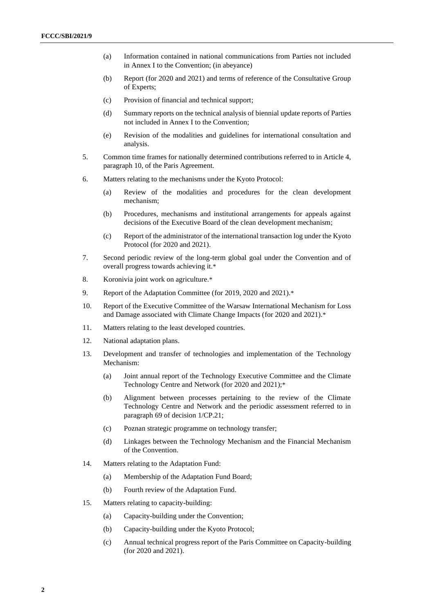- (a) Information contained in national communications from Parties not included in Annex I to the Convention; (in abeyance)
- (b) Report (for 2020 and 2021) and terms of reference of the Consultative Group of Experts;
- (c) Provision of financial and technical support;
- (d) Summary reports on the technical analysis of biennial update reports of Parties not included in Annex I to the Convention;
- (e) Revision of the modalities and guidelines for international consultation and analysis.
- 5. Common time frames for nationally determined contributions referred to in Article 4, paragraph 10, of the Paris Agreement.
- 6. Matters relating to the mechanisms under the Kyoto Protocol:
	- (a) Review of the modalities and procedures for the clean development mechanism;
	- (b) Procedures, mechanisms and institutional arrangements for appeals against decisions of the Executive Board of the clean development mechanism;
	- (c) Report of the administrator of the international transaction log under the Kyoto Protocol (for 2020 and 2021).
- 7. Second periodic review of the long-term global goal under the Convention and of overall progress towards achieving it.\*
- 8. Koronivia joint work on agriculture.\*
- 9. Report of the Adaptation Committee (for 2019, 2020 and 2021).\*
- 10. Report of the Executive Committee of the Warsaw International Mechanism for Loss and Damage associated with Climate Change Impacts (for 2020 and 2021).\*
- 11. Matters relating to the least developed countries.
- 12. National adaptation plans.
- 13. Development and transfer of technologies and implementation of the Technology Mechanism:
	- (a) Joint annual report of the Technology Executive Committee and the Climate Technology Centre and Network (for 2020 and 2021);\*
	- (b) Alignment between processes pertaining to the review of the Climate Technology Centre and Network and the periodic assessment referred to in paragraph 69 of decision 1/CP.21;
	- (c) Poznan strategic programme on technology transfer;
	- (d) Linkages between the Technology Mechanism and the Financial Mechanism of the Convention.
- 14. Matters relating to the Adaptation Fund:
	- (a) Membership of the Adaptation Fund Board;
	- (b) Fourth review of the Adaptation Fund.
- 15. Matters relating to capacity-building:
	- (a) Capacity-building under the Convention;
	- (b) Capacity-building under the Kyoto Protocol;
	- (c) Annual technical progress report of the Paris Committee on Capacity-building (for 2020 and 2021).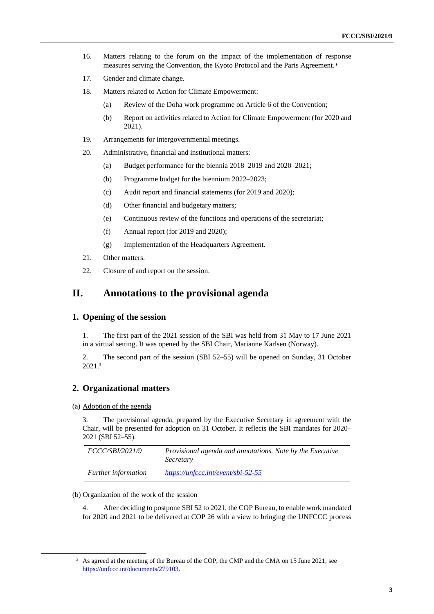- 16. Matters relating to the forum on the impact of the implementation of response measures serving the Convention, the Kyoto Protocol and the Paris Agreement.\*
- 17. Gender and climate change.
- 18. Matters related to Action for Climate Empowerment:
	- (a) Review of the Doha work programme on Article 6 of the Convention;
	- (b) Report on activities related to Action for Climate Empowerment (for 2020 and 2021).
- 19. Arrangements for intergovernmental meetings.
- 20. Administrative, financial and institutional matters:
	- (a) Budget performance for the biennia 2018–2019 and 2020–2021;
	- (b) Programme budget for the biennium 2022–2023;
	- (c) Audit report and financial statements (for 2019 and 2020);
	- (d) Other financial and budgetary matters;
	- (e) Continuous review of the functions and operations of the secretariat;
	- (f) Annual report (for 2019 and 2020);
	- (g) Implementation of the Headquarters Agreement.
- 21. Other matters.
- 22. Closure of and report on the session.

## **II. Annotations to the provisional agenda**

### **1. Opening of the session**

1. The first part of the 2021 session of the SBI was held from 31 May to 17 June 2021 in a virtual setting. It was opened by the SBI Chair, Marianne Karlsen (Norway).

2. The second part of the session (SBI 52–55) will be opened on Sunday, 31 October 2021.<sup>3</sup>

### **2. Organizational matters**

(a) Adoption of the agenda

3. The provisional agenda, prepared by the Executive Secretary in agreement with the Chair, will be presented for adoption on 31 October. It reflects the SBI mandates for 2020– 2021 (SBI 52–55).

| <i>FCCC/SBI/2021/9</i>     | <i>Provisional agenda and annotations. Note by the Executive</i><br>Secretary |
|----------------------------|-------------------------------------------------------------------------------|
| <i>Further information</i> | $https://unfcc.c.int/event/sbi-52-55$                                         |

#### (b) Organization of the work of the session

4. After deciding to postpone SBI 52 to 2021, the COP Bureau, to enable work mandated for 2020 and 2021 to be delivered at COP 26 with a view to bringing the UNFCCC process

<sup>&</sup>lt;sup>3</sup> As agreed at the meeting of the Bureau of the COP, the CMP and the CMA on 15 June 2021; see [https://unfccc.int/documents/279103.](https://unfccc.int/documents/279103)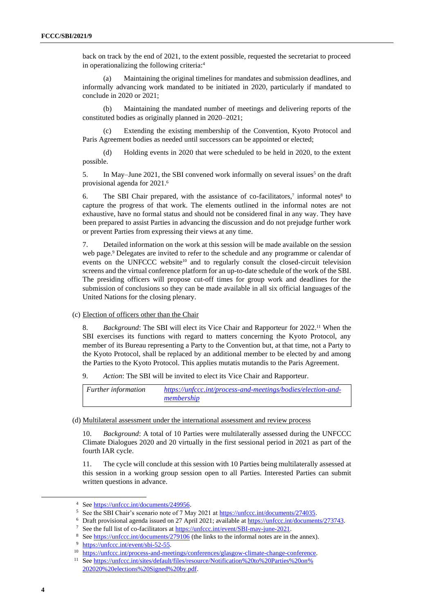back on track by the end of 2021, to the extent possible, requested the secretariat to proceed in operationalizing the following criteria:<sup>4</sup>

(a) Maintaining the original timelines for mandates and submission deadlines, and informally advancing work mandated to be initiated in 2020, particularly if mandated to conclude in 2020 or 2021;

(b) Maintaining the mandated number of meetings and delivering reports of the constituted bodies as originally planned in 2020–2021;

(c) Extending the existing membership of the Convention, Kyoto Protocol and Paris Agreement bodies as needed until successors can be appointed or elected;

(d) Holding events in 2020 that were scheduled to be held in 2020, to the extent possible.

5. In May–June 2021, the SBI convened work informally on several issues<sup>5</sup> on the draft provisional agenda for 2021. 6

6. The SBI Chair prepared, with the assistance of co-facilitators, $\frac{7}{10}$  informal notes<sup>8</sup> to capture the progress of that work. The elements outlined in the informal notes are not exhaustive, have no formal status and should not be considered final in any way. They have been prepared to assist Parties in advancing the discussion and do not prejudge further work or prevent Parties from expressing their views at any time.

7. Detailed information on the work at this session will be made available on the session web page.<sup>9</sup> Delegates are invited to refer to the schedule and any programme or calendar of events on the UNFCCC website<sup>10</sup> and to regularly consult the closed-circuit television screens and the virtual conference platform for an up-to-date schedule of the work of the SBI. The presiding officers will propose cut-off times for group work and deadlines for the submission of conclusions so they can be made available in all six official languages of the United Nations for the closing plenary.

(c) Election of officers other than the Chair

8. *Background*: The SBI will elect its Vice Chair and Rapporteur for 2022.<sup>11</sup> When the SBI exercises its functions with regard to matters concerning the Kyoto Protocol, any member of its Bureau representing a Party to the Convention but, at that time, not a Party to the Kyoto Protocol, shall be replaced by an additional member to be elected by and among the Parties to the Kyoto Protocol. This applies mutatis mutandis to the Paris Agreement.

9. *Action*: The SBI will be invited to elect its Vice Chair and Rapporteur.

| <i>Further information</i> | https://unfccc.int/process-and-meetings/bodies/election-and- |
|----------------------------|--------------------------------------------------------------|
|                            | membership                                                   |

#### (d) Multilateral assessment under the international assessment and review process

10. *Background*: A total of 10 Parties were multilaterally assessed during the UNFCCC Climate Dialogues 2020 and 20 virtually in the first sessional period in 2021 as part of the fourth IAR cycle.

11. The cycle will conclude at this session with 10 Parties being multilaterally assessed at this session in a working group session open to all Parties. Interested Parties can submit written questions in advance.

<sup>4</sup> Se[e https://unfccc.int/documents/249956.](https://unfccc.int/documents/249956) 

<sup>&</sup>lt;sup>5</sup> See the SBI Chair's scenario note of 7 May 2021 at [https://unfccc.int/documents/274035.](https://unfccc.int/documents/274035)

<sup>6</sup> Draft provisional agenda issued on 27 April 2021; available at [https://unfccc.int/documents/273743.](https://unfccc.int/documents/273743) 

<sup>7</sup> See the full list of co-facilitators a[t https://unfccc.int/event/SBI-may-june-2021.](https://unfccc.int/event/SBI-may-june-2021)

<sup>&</sup>lt;sup>8</sup> Se[e https://unfccc.int/documents/279106](https://unfccc.int/documents/279106) (the links to the informal notes are in the annex).

<sup>&</sup>lt;sup>9</sup> [https://unfccc.int/event/sbi-52-55.](https://unfccc.int/event/sbi-52-55)

<sup>&</sup>lt;sup>10</sup> https://unfccc.int/process-and-meetings/conferences/glasgow-climate-change-conference.

<sup>&</sup>lt;sup>11</sup> Se[e https://unfccc.int/sites/default/files/resource/Notification%20to%20Parties%20on%](https://unfccc.int/sites/default/files/resource/Notification%20to%20Parties%20on%202020%20elections%20Signed%20by.pdf) [202020%20elections%20Signed%20by.pdf.](https://unfccc.int/sites/default/files/resource/Notification%20to%20Parties%20on%202020%20elections%20Signed%20by.pdf)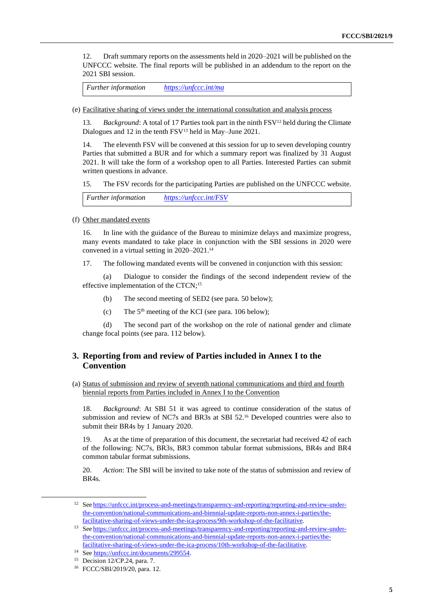12. Draft summary reports on the assessments held in 2020–2021 will be published on the UNFCCC website. The final reports will be published in an addendum to the report on the 2021 SBI session.

*Further information <https://unfccc.int/ma>*

(e) Facilitative sharing of views under the international consultation and analysis process

13. *Background*: A total of 17 Parties took part in the ninth FSV<sup>12</sup> held during the Climate Dialogues and 12 in the tenth FSV<sup>13</sup> held in May–June 2021.

14. The eleventh FSV will be convened at this session for up to seven developing country Parties that submitted a BUR and for which a summary report was finalized by 31 August 2021. It will take the form of a workshop open to all Parties. Interested Parties can submit written questions in advance.

15. The FSV records for the participating Parties are published on the UNFCCC website.

*Further information <https://unfccc.int/FSV>*

(f) Other mandated events

16. In line with the guidance of the Bureau to minimize delays and maximize progress, many events mandated to take place in conjunction with the SBI sessions in 2020 were convened in a virtual setting in 2020–2021. 14

17. The following mandated events will be convened in conjunction with this session:

(a) Dialogue to consider the findings of the second independent review of the effective implementation of the CTCN; 15

- (b) The second meeting of SED2 (see para. 50 below);
- (c) The  $5<sup>th</sup>$  meeting of the KCI (see para. 106 below);

(d) The second part of the workshop on the role of national gender and climate change focal points (see para. 112 below).

### **3. Reporting from and review of Parties included in Annex I to the Convention**

(a) Status of submission and review of seventh national communications and third and fourth biennial reports from Parties included in Annex I to the Convention

18. *Background*: At SBI 51 it was agreed to continue consideration of the status of submission and review of NC7s and BR3s at SBI 52.<sup>16</sup> Developed countries were also to submit their BR4s by 1 January 2020.

19. As at the time of preparation of this document, the secretariat had received 42 of each of the following: NC7s, BR3s, BR3 common tabular format submissions, BR4s and BR4 common tabular format submissions.

20. *Action*: The SBI will be invited to take note of the status of submission and review of BR4s.

<sup>&</sup>lt;sup>12</sup> See [https://unfccc.int/process-and-meetings/transparency-and-reporting/reporting-and-review-under](https://unfccc.int/process-and-meetings/transparency-and-reporting/reporting-and-review-under-the-convention/national-communications-and-biennial-update-reports-non-annex-i-parties/the-facilitative-sharing-of-views-under-the-ica-process/9th-workshop-of-the-facilitative)[the-convention/national-communications-and-biennial-update-reports-non-annex-i-parties/the](https://unfccc.int/process-and-meetings/transparency-and-reporting/reporting-and-review-under-the-convention/national-communications-and-biennial-update-reports-non-annex-i-parties/the-facilitative-sharing-of-views-under-the-ica-process/9th-workshop-of-the-facilitative)[facilitative-sharing-of-views-under-the-ica-process/9th-workshop-of-the-facilitative.](https://unfccc.int/process-and-meetings/transparency-and-reporting/reporting-and-review-under-the-convention/national-communications-and-biennial-update-reports-non-annex-i-parties/the-facilitative-sharing-of-views-under-the-ica-process/9th-workshop-of-the-facilitative) 

<sup>13</sup> See [https://unfccc.int/process-and-meetings/transparency-and-reporting/reporting-and-review-under](https://unfccc.int/process-and-meetings/transparency-and-reporting/reporting-and-review-under-the-convention/national-communications-and-biennial-update-reports-non-annex-i-parties/the-facilitative-sharing-of-views-under-the-ica-process/10th-workshop-of-the-facilitative)[the-convention/national-communications-and-biennial-update-reports-non-annex-i-parties/the](https://unfccc.int/process-and-meetings/transparency-and-reporting/reporting-and-review-under-the-convention/national-communications-and-biennial-update-reports-non-annex-i-parties/the-facilitative-sharing-of-views-under-the-ica-process/10th-workshop-of-the-facilitative)[facilitative-sharing-of-views-under-the-ica-process/10th-workshop-of-the-facilitative.](https://unfccc.int/process-and-meetings/transparency-and-reporting/reporting-and-review-under-the-convention/national-communications-and-biennial-update-reports-non-annex-i-parties/the-facilitative-sharing-of-views-under-the-ica-process/10th-workshop-of-the-facilitative) 

<sup>14</sup> Se[e https://unfccc.int/documents/299554.](https://unfccc.int/documents/299554) 

<sup>15</sup> Decision 12/CP.24, para. 7.

<sup>16</sup> FCCC/SBI/2019/20, para. 12.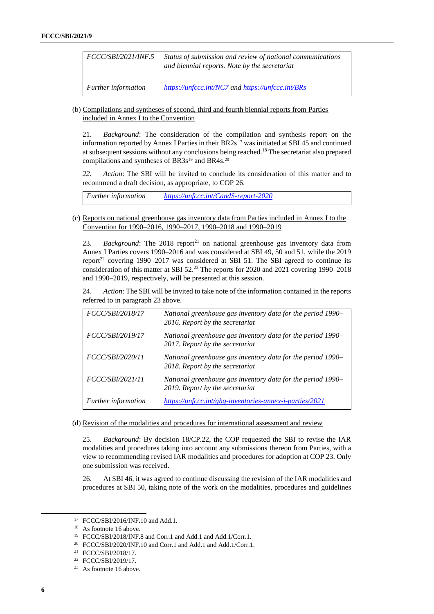*FCCC/SBI/2021/INF.5 Status of submission and review of national communications and biennial reports. Note by the secretariat*

*Further information <https://unfccc.int/NC7> and <https://unfccc.int/BRs>*

(b) Compilations and syntheses of second, third and fourth biennial reports from Parties included in Annex I to the Convention

21. *Background*: The consideration of the compilation and synthesis report on the information reported by Annex I Parties in their BR2s <sup>17</sup> was initiated at SBI 45 and continued at subsequent sessions without any conclusions being reached.<sup>18</sup> The secretariat also prepared compilations and syntheses of BR3s<sup>19</sup> and BR4s.<sup>20</sup>

*22. Action*: The SBI will be invited to conclude its consideration of this matter and to recommend a draft decision, as appropriate, to COP 26.

*Further information <https://unfccc.int/CandS-report-2020>*

#### (c) Reports on national greenhouse gas inventory data from Parties included in Annex I to the Convention for 1990–2016, 1990–2017, 1990–2018 and 1990–2019

23. *Background*: The 2018 report<sup>21</sup> on national greenhouse gas inventory data from Annex I Parties covers 1990–2016 and was considered at SBI 49, 50 and 51, while the 2019 report<sup>22</sup> covering 1990–2017 was considered at SBI 51. The SBI agreed to continue its consideration of this matter at SBI 52.<sup>23</sup> The reports for 2020 and 2021 covering 1990–2018 and 1990–2019, respectively, will be presented at this session.

24. *Action*: The SBI will be invited to take note of the information contained in the reports referred to in paragraph 23 above.

| FCCC/SBI/2018/17           | National greenhouse gas inventory data for the period 1990-<br>2016. Report by the secretariat |
|----------------------------|------------------------------------------------------------------------------------------------|
| FCCC/SBI/2019/17           | National greenhouse gas inventory data for the period 1990-<br>2017. Report by the secretariat |
| FCCC/SBI/2020/11           | National greenhouse gas inventory data for the period 1990-<br>2018. Report by the secretariat |
| <i>FCCC/SBI/2021/11</i>    | National greenhouse gas inventory data for the period 1990–<br>2019. Report by the secretariat |
| <b>Further</b> information | https://unfccc.int/ghg-inventories-annex-i-parties/2021                                        |

(d) Revision of the modalities and procedures for international assessment and review

25. *Background*: By decision 18/CP.22, the COP requested the SBI to revise the IAR modalities and procedures taking into account any submissions thereon from Parties, with a view to recommending revised IAR modalities and procedures for adoption at COP 23. Only one submission was received.

26. At SBI 46, it was agreed to continue discussing the revision of the IAR modalities and procedures at SBI 50, taking note of the work on the modalities, procedures and guidelines

<sup>17</sup> FCCC/SBI/2016/INF.10 and Add.1.

<sup>&</sup>lt;sup>18</sup> As footnote 16 above.

<sup>19</sup> FCCC/SBI/2018/INF.8 and Corr.1 and Add.1 and Add.1/Corr.1.

<sup>20</sup> FCCC/SBI/2020/INF.10 and Corr.1 and Add.1 and Add.1/Corr.1.

<sup>21</sup> FCCC/SBI/2018/17.

<sup>22</sup> FCCC/SBI/2019/17.

<sup>23</sup> As footnote 16 above.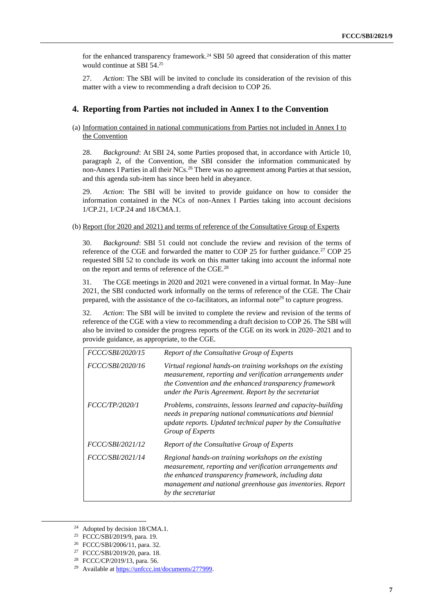for the enhanced transparency framework. <sup>24</sup> SBI 50 agreed that consideration of this matter would continue at SBI 54. 25

27. *Action*: The SBI will be invited to conclude its consideration of the revision of this matter with a view to recommending a draft decision to COP 26.

### **4. Reporting from Parties not included in Annex I to the Convention**

#### (a) Information contained in national communications from Parties not included in Annex I to the Convention

28. *Background*: At SBI 24, some Parties proposed that, in accordance with Article 10, paragraph 2, of the Convention, the SBI consider the information communicated by non-Annex I Parties in all their NCs.<sup>26</sup> There was no agreement among Parties at that session, and this agenda sub-item has since been held in abeyance.

29. *Action*: The SBI will be invited to provide guidance on how to consider the information contained in the NCs of non-Annex I Parties taking into account decisions 1/CP.21, 1/CP.24 and 18/CMA.1.

#### (b) Report (for 2020 and 2021) and terms of reference of the Consultative Group of Experts

30. *Background*: SBI 51 could not conclude the review and revision of the terms of reference of the CGE and forwarded the matter to COP 25 for further guidance.<sup>27</sup> COP 25 requested SBI 52 to conclude its work on this matter taking into account the informal note on the report and terms of reference of the CGE. 28

31. The CGE meetings in 2020 and 2021 were convened in a virtual format. In May–June 2021, the SBI conducted work informally on the terms of reference of the CGE. The Chair prepared, with the assistance of the co-facilitators, an informal note<sup>29</sup> to capture progress.

32. *Action*: The SBI will be invited to complete the review and revision of the terms of reference of the CGE with a view to recommending a draft decision to COP 26. The SBI will also be invited to consider the progress reports of the CGE on its work in 2020–2021 and to provide guidance, as appropriate, to the CGE.

| FCCC/SBI/2020/15        | Report of the Consultative Group of Experts                                                                                                                                                                                                                 |
|-------------------------|-------------------------------------------------------------------------------------------------------------------------------------------------------------------------------------------------------------------------------------------------------------|
| <i>FCCC/SBI/2020/16</i> | Virtual regional hands-on training workshops on the existing<br>measurement, reporting and verification arrangements under<br>the Convention and the enhanced transparency framework<br>under the Paris Agreement. Report by the secretariat                |
| FCCC/TP/2020/1          | Problems, constraints, lessons learned and capacity-building<br>needs in preparing national communications and biennial<br>update reports. Updated technical paper by the Consultative<br>Group of Experts                                                  |
| FCCC/SBI/2021/12        | Report of the Consultative Group of Experts                                                                                                                                                                                                                 |
| FCCC/SBI/2021/14        | Regional hands-on training workshops on the existing<br>measurement, reporting and verification arrangements and<br>the enhanced transparency framework, including data<br>management and national greenhouse gas inventories. Report<br>by the secretariat |

<sup>24</sup> Adopted by decision 18/CMA.1.

<sup>25</sup> FCCC/SBI/2019/9, para. 19.

<sup>26</sup> FCCC/SBI/2006/11, para. 32.

<sup>27</sup> FCCC/SBI/2019/20, para. 18.

<sup>28</sup> FCCC/CP/2019/13, para. 56.

<sup>29</sup> Available a[t https://unfccc.int/documents/277999.](https://unfccc.int/documents/277999)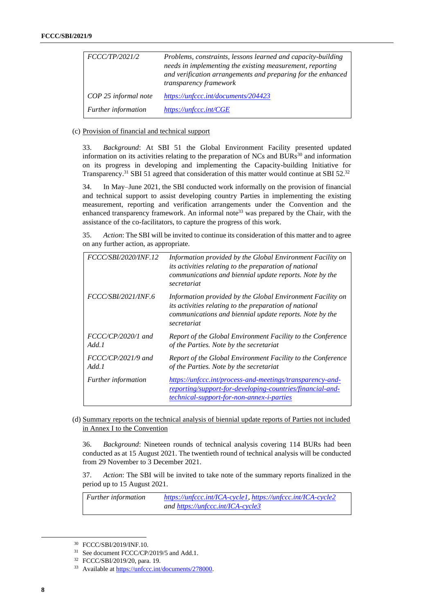| <i>FCCC/TP/2021/2</i>      | Problems, constraints, lessons learned and capacity-building<br>needs in implementing the existing measurement, reporting<br>and verification arrangements and preparing for the enhanced<br>transparency framework |
|----------------------------|---------------------------------------------------------------------------------------------------------------------------------------------------------------------------------------------------------------------|
| COP 25 informal note       | https://unfccc.int/documents/204423                                                                                                                                                                                 |
| <b>Further</b> information | https://unfccc.int/CGE                                                                                                                                                                                              |

#### (c) Provision of financial and technical support

33. *Background*: At SBI 51 the Global Environment Facility presented updated information on its activities relating to the preparation of NCs and  $BURs<sup>30</sup>$  and information on its progress in developing and implementing the Capacity-building Initiative for Transparency.<sup>31</sup> SBI 51 agreed that consideration of this matter would continue at SBI 52.<sup>32</sup>

34. In May–June 2021, the SBI conducted work informally on the provision of financial and technical support to assist developing country Parties in implementing the existing measurement, reporting and verification arrangements under the Convention and the enhanced transparency framework. An informal note<sup>33</sup> was prepared by the Chair, with the assistance of the co-facilitators, to capture the progress of this work.

35. *Action*: The SBI will be invited to continue its consideration of this matter and to agree on any further action, as appropriate.

| FCCC/SBI/2020/INF.12          | Information provided by the Global Environment Facility on<br>its activities relating to the preparation of national<br>communications and biennial update reports. Note by the<br>secretariat |
|-------------------------------|------------------------------------------------------------------------------------------------------------------------------------------------------------------------------------------------|
| <i>FCCC/SBI/2021/INF.6</i>    | Information provided by the Global Environment Facility on<br>its activities relating to the preparation of national<br>communications and biennial update reports. Note by the<br>secretariat |
| $FCCC/CP/2020/1$ and<br>Add.1 | Report of the Global Environment Facility to the Conference<br>of the Parties. Note by the secretariat                                                                                         |
| $FCCC/CP/2021/9$ and<br>Add.1 | Report of the Global Environment Facility to the Conference<br>of the Parties. Note by the secretariat                                                                                         |
| <i>Further information</i>    | https://unfccc.int/process-and-meetings/transparency-and-<br>reporting/support-for-developing-countries/financial-and-<br>technical-support-for-non-annex-i-parties                            |

#### (d) Summary reports on the technical analysis of biennial update reports of Parties not included in Annex I to the Convention

36. *Background*: Nineteen rounds of technical analysis covering 114 BURs had been conducted as at 15 August 2021. The twentieth round of technical analysis will be conducted from 29 November to 3 December 2021.

37. *Action*: The SBI will be invited to take note of the summary reports finalized in the period up to 15 August 2021.

*Further information <https://unfccc.int/ICA-cycle1>*, *<https://unfccc.int/ICA-cycle2> an[d https://unfccc.int/ICA-cycle3](https://unfccc.int/ICA-cycle3)*

<sup>30</sup> FCCC/SBI/2019/INF.10.

<sup>&</sup>lt;sup>31</sup> See document FCCC/CP/2019/5 and Add.1.

<sup>32</sup> FCCC/SBI/2019/20, para. 19.

<sup>33</sup> Available a[t https://unfccc.int/documents/278000.](https://unfccc.int/documents/278000)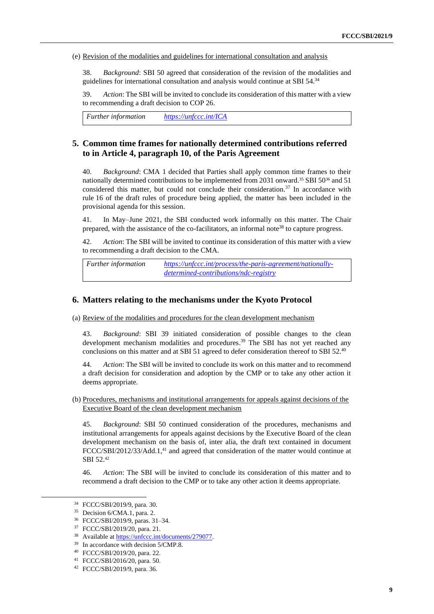(e) Revision of the modalities and guidelines for international consultation and analysis

38. *Background*: SBI 50 agreed that consideration of the revision of the modalities and guidelines for international consultation and analysis would continue at SBI 54. 34

39. *Action*: The SBI will be invited to conclude its consideration of this matter with a view to recommending a draft decision to COP 26.

*Further information <https://unfccc.int/ICA>*

### **5. Common time frames for nationally determined contributions referred to in Article 4, paragraph 10, of the Paris Agreement**

40. *Background*: CMA 1 decided that Parties shall apply common time frames to their nationally determined contributions to be implemented from 2031 onward.<sup>35</sup> SBI 50<sup>36</sup> and 51 considered this matter, but could not conclude their consideration.<sup>37</sup> In accordance with rule 16 of the draft rules of procedure being applied, the matter has been included in the provisional agenda for this session.

41. In May–June 2021, the SBI conducted work informally on this matter. The Chair prepared, with the assistance of the co-facilitators, an informal note<sup>38</sup> to capture progress.

42. *Action*: The SBI will be invited to continue its consideration of this matter with a view to recommending a draft decision to the CMA.

*Further information [https://unfccc.int/process/the-paris-agreement/nationally](https://unfccc.int/process/the-paris-agreement/nationally-determined-contributions/ndc-registry)[determined-contributions/ndc-registry](https://unfccc.int/process/the-paris-agreement/nationally-determined-contributions/ndc-registry)*

#### **6. Matters relating to the mechanisms under the Kyoto Protocol**

(a) Review of the modalities and procedures for the clean development mechanism

43. *Background*: SBI 39 initiated consideration of possible changes to the clean development mechanism modalities and procedures. <sup>39</sup> The SBI has not yet reached any conclusions on this matter and at SBI 51 agreed to defer consideration thereof to SBI 52.<sup>40</sup>

44. *Action*: The SBI will be invited to conclude its work on this matter and to recommend a draft decision for consideration and adoption by the CMP or to take any other action it deems appropriate.

(b) Procedures, mechanisms and institutional arrangements for appeals against decisions of the Executive Board of the clean development mechanism

45. *Background*: SBI 50 continued consideration of the procedures, mechanisms and institutional arrangements for appeals against decisions by the Executive Board of the clean development mechanism on the basis of, inter alia, the draft text contained in document FCCC/SBI/2012/33/Add.1,<sup>41</sup> and agreed that consideration of the matter would continue at SBI 52.<sup>42</sup>

46. *Action*: The SBI will be invited to conclude its consideration of this matter and to recommend a draft decision to the CMP or to take any other action it deems appropriate.

<sup>34</sup> FCCC/SBI/2019/9, para. 30.

<sup>35</sup> Decision 6/CMA.1, para. 2.

<sup>36</sup> FCCC/SBI/2019/9, paras. 31–34.

<sup>37</sup> FCCC/SBI/2019/20, para. 21.

<sup>38</sup> Available a[t https://unfccc.int/documents/279077.](https://unfccc.int/documents/279077)

<sup>39</sup> In accordance with decision 5/CMP.8.

<sup>40</sup> FCCC/SBI/2019/20, para. 22.

<sup>41</sup> FCCC/SBI/2016/20, para. 50.

<sup>42</sup> FCCC/SBI/2019/9, para. 36.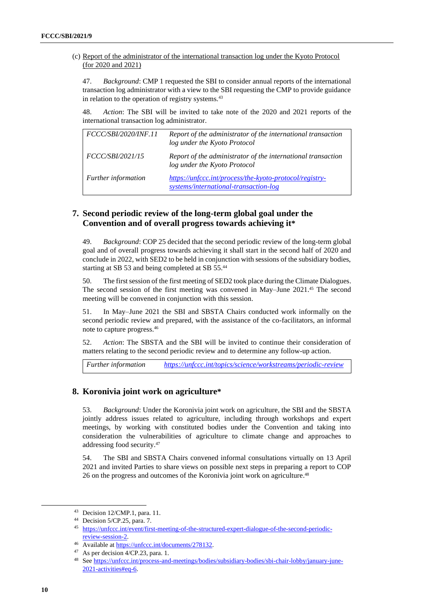(c) Report of the administrator of the international transaction log under the Kyoto Protocol (for 2020 and 2021)

47. *Background*: CMP 1 requested the SBI to consider annual reports of the international transaction log administrator with a view to the SBI requesting the CMP to provide guidance in relation to the operation of registry systems.<sup>43</sup>

48. *Action*: The SBI will be invited to take note of the 2020 and 2021 reports of the international transaction log administrator.

| FCCC/SBI/2020/INF.11    | Report of the administrator of the international transaction<br>log under the Kyoto Protocol     |
|-------------------------|--------------------------------------------------------------------------------------------------|
| <i>FCCC/SBI/2021/15</i> | Report of the administrator of the international transaction<br>log under the Kyoto Protocol     |
| Further information     | https://unfccc.int/process/the-kyoto-protocol/registry-<br>systems/international-transaction-log |

### **7. Second periodic review of the long-term global goal under the Convention and of overall progress towards achieving it\***

49. *Background*: COP 25 decided that the second periodic review of the long-term global goal and of overall progress towards achieving it shall start in the second half of 2020 and conclude in 2022, with SED2 to be held in conjunction with sessions of the subsidiary bodies, starting at SB 53 and being completed at SB 55.<sup>44</sup>

50. The first session of the first meeting of SED2 took place during the Climate Dialogues. The second session of the first meeting was convened in May–June 2021. <sup>45</sup> The second meeting will be convened in conjunction with this session.

51. In May–June 2021 the SBI and SBSTA Chairs conducted work informally on the second periodic review and prepared, with the assistance of the co-facilitators, an informal note to capture progress. 46

52. *Action*: The SBSTA and the SBI will be invited to continue their consideration of matters relating to the second periodic review and to determine any follow-up action.

*Further information <https://unfccc.int/topics/science/workstreams/periodic-review>*

### **8. Koronivia joint work on agriculture\***

53. *Background*: Under the Koronivia joint work on agriculture, the SBI and the SBSTA jointly address issues related to agriculture, including through workshops and expert meetings, by working with constituted bodies under the Convention and taking into consideration the vulnerabilities of agriculture to climate change and approaches to addressing food security.<sup>47</sup>

54. The SBI and SBSTA Chairs convened informal consultations virtually on 13 April 2021 and invited Parties to share views on possible next steps in preparing a report to COP 26 on the progress and outcomes of the Koronivia joint work on agriculture. 48

<sup>43</sup> Decision 12/CMP.1, para. 11.

<sup>44</sup> Decision 5/CP.25, para. 7.

<sup>45</sup> [https://unfccc.int/event/first-meeting-of-the-structured-expert-dialogue-of-the-second-periodic](https://unfccc.int/event/first-meeting-of-the-structured-expert-dialogue-of-the-second-periodic-review-session-2)[review-session-2.](https://unfccc.int/event/first-meeting-of-the-structured-expert-dialogue-of-the-second-periodic-review-session-2) 

<sup>46</sup> Available a[t https://unfccc.int/documents/278132.](https://unfccc.int/documents/278132)

 $47$  As per decision  $4/CP.23$ , para. 1.

<sup>48</sup> Se[e https://unfccc.int/process-and-meetings/bodies/subsidiary-bodies/sbi-chair-lobby/january-june-](https://unfccc.int/process-and-meetings/bodies/subsidiary-bodies/sbi-chair-lobby/january-june-2021-activities#eq-6)[2021-activities#eq-6.](https://unfccc.int/process-and-meetings/bodies/subsidiary-bodies/sbi-chair-lobby/january-june-2021-activities#eq-6)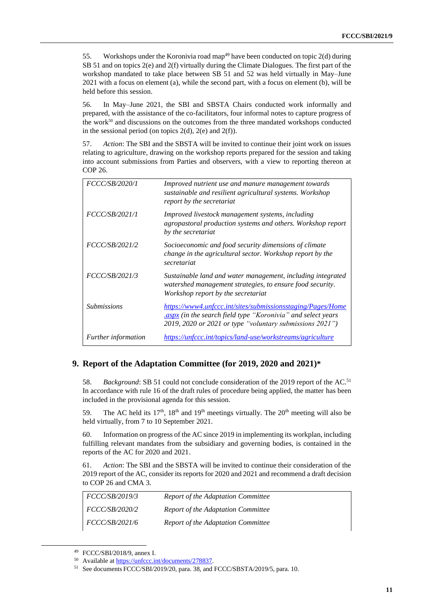55. Workshops under the Koronivia road map<sup>49</sup> have been conducted on topic  $2(d)$  during SB 51 and on topics 2(e) and 2(f) virtually during the Climate Dialogues. The first part of the workshop mandated to take place between SB 51 and 52 was held virtually in May–June 2021 with a focus on element (a), while the second part, with a focus on element (b), will be held before this session.

56. In May–June 2021, the SBI and SBSTA Chairs conducted work informally and prepared, with the assistance of the co-facilitators, four informal notes to capture progress of the work $50$  and discussions on the outcomes from the three mandated workshops conducted in the sessional period (on topics  $2(d)$ ,  $2(e)$  and  $2(f)$ ).

57. *Action*: The SBI and the SBSTA will be invited to continue their joint work on issues relating to agriculture, drawing on the workshop reports prepared for the session and taking into account submissions from Parties and observers, with a view to reporting thereon at COP 26.

| <i>FCCC/SB/2020/1</i>      | Improved nutrient use and manure management towards<br>sustainable and resilient agricultural systems. Workshop<br>report by the secretariat                                           |
|----------------------------|----------------------------------------------------------------------------------------------------------------------------------------------------------------------------------------|
| <i>FCCC/SB/2021/1</i>      | Improved livestock management systems, including<br>agropastoral production systems and others. Workshop report<br>by the secretariat                                                  |
| <i>FCCC/SB/2021/2</i>      | Socioeconomic and food security dimensions of climate<br>change in the agricultural sector. Workshop report by the<br>secretariat                                                      |
| FCCC/SB/2021/3             | Sustainable land and water management, including integrated<br>watershed management strategies, to ensure food security.<br>Workshop report by the secretariat                         |
| <i>Submissions</i>         | https://www4.unfccc.int/sites/submissionsstaging/Pages/Home<br>aspx (in the search field type "Koronivia" and select years<br>2019, 2020 or 2021 or type "voluntary submissions 2021") |
| <i>Further information</i> | https://unfccc.int/topics/land-use/workstreams/agriculture                                                                                                                             |

### **9. Report of the Adaptation Committee (for 2019, 2020 and 2021)\***

58. *Background*: SB 51 could not conclude consideration of the 2019 report of the AC.<sup>51</sup> In accordance with rule 16 of the draft rules of procedure being applied, the matter has been included in the provisional agenda for this session.

59. The AC held its  $17<sup>th</sup>$ ,  $18<sup>th</sup>$  and  $19<sup>th</sup>$  meetings virtually. The  $20<sup>th</sup>$  meeting will also be held virtually, from 7 to 10 September 2021.

60. Information on progress of the AC since 2019 in implementing its workplan, including fulfilling relevant mandates from the subsidiary and governing bodies, is contained in the reports of the AC for 2020 and 2021.

61. *Action*: The SBI and the SBSTA will be invited to continue their consideration of the 2019 report of the AC, consider its reports for 2020 and 2021 and recommend a draft decision to COP 26 and CMA 3.

| <i>FCCC/SB/2019/3</i> | Report of the Adaptation Committee |
|-----------------------|------------------------------------|
| FCCC/SB/2020/2        | Report of the Adaptation Committee |
| <i>FCCC/SB/2021/6</i> | Report of the Adaptation Committee |

<sup>49</sup> FCCC/SBI/2018/9, annex I.

<sup>50</sup> Available a[t https://unfccc.int/documents/278837.](https://unfccc.int/documents/278837)

<sup>51</sup> See documents FCCC/SBI/2019/20, para. 38, and FCCC/SBSTA/2019/5, para. 10.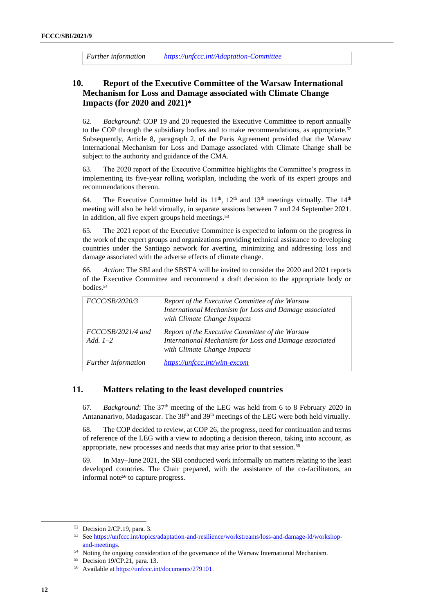*Further information <https://unfccc.int/Adaptation-Committee>*

### **10. Report of the Executive Committee of the Warsaw International Mechanism for Loss and Damage associated with Climate Change Impacts (for 2020 and 2021)\***

62. *Background*: COP 19 and 20 requested the Executive Committee to report annually to the COP through the subsidiary bodies and to make recommendations, as appropriate.<sup>52</sup> Subsequently, Article 8, paragraph 2, of the Paris Agreement provided that the Warsaw International Mechanism for Loss and Damage associated with Climate Change shall be subject to the authority and guidance of the CMA.

63. The 2020 report of the Executive Committee highlights the Committee's progress in implementing its five-year rolling workplan, including the work of its expert groups and recommendations thereon.

64. The Executive Committee held its  $11<sup>th</sup>$ ,  $12<sup>th</sup>$  and  $13<sup>th</sup>$  meetings virtually. The  $14<sup>th</sup>$ meeting will also be held virtually, in separate sessions between 7 and 24 September 2021. In addition, all five expert groups held meetings.<sup>53</sup>

65. The 2021 report of the Executive Committee is expected to inform on the progress in the work of the expert groups and organizations providing technical assistance to developing countries under the Santiago network for averting, minimizing and addressing loss and damage associated with the adverse effects of climate change.

66. *Action*: The SBI and the SBSTA will be invited to consider the 2020 and 2021 reports of the Executive Committee and recommend a draft decision to the appropriate body or bodies. 54

| FCCC/SB/2020/3                     | Report of the Executive Committee of the Warsaw<br>International Mechanism for Loss and Damage associated<br>with Climate Change Impacts |
|------------------------------------|------------------------------------------------------------------------------------------------------------------------------------------|
| $FCCC/SB/2021/4$ and<br>Add. $1-2$ | Report of the Executive Committee of the Warsaw<br>International Mechanism for Loss and Damage associated<br>with Climate Change Impacts |
| <b>Further</b> information         | https://unfccc.int/wim-excom                                                                                                             |

### **11. Matters relating to the least developed countries**

67. *Background*: The 37th meeting of the LEG was held from 6 to 8 February 2020 in Antananarivo, Madagascar. The 38<sup>th</sup> and 39<sup>th</sup> meetings of the LEG were both held virtually.

68. The COP decided to review, at COP 26, the progress, need for continuation and terms of reference of the LEG with a view to adopting a decision thereon, taking into account, as appropriate, new processes and needs that may arise prior to that session.<sup>55</sup>

69. In May–June 2021, the SBI conducted work informally on matters relating to the least developed countries. The Chair prepared, with the assistance of the co-facilitators, an informal note<sup>56</sup> to capture progress.

<sup>52</sup> Decision 2/CP.19, para. 3.

<sup>53</sup> Se[e https://unfccc.int/topics/adaptation-and-resilience/workstreams/loss-and-damage-ld/workshop](https://unfccc.int/topics/adaptation-and-resilience/workstreams/loss-and-damage-ld/workshop-and-meetings)[and-meetings.](https://unfccc.int/topics/adaptation-and-resilience/workstreams/loss-and-damage-ld/workshop-and-meetings)

<sup>54</sup> Noting the ongoing consideration of the governance of the Warsaw International Mechanism.

<sup>55</sup> Decision 19/CP.21, para. 13.

<sup>56</sup> Available a[t https://unfccc.int/documents/279101.](https://unfccc.int/documents/279101)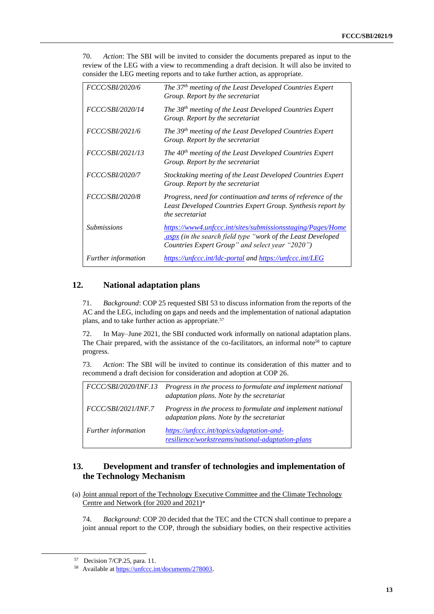70. *Action*: The SBI will be invited to consider the documents prepared as input to the review of the LEG with a view to recommending a draft decision. It will also be invited to consider the LEG meeting reports and to take further action, as appropriate.

| <i>FCCC/SBI/2020/6</i>     | The 37 <sup>th</sup> meeting of the Least Developed Countries Expert<br>Group. Report by the secretariat                                                                      |
|----------------------------|-------------------------------------------------------------------------------------------------------------------------------------------------------------------------------|
| <i>FCCC/SBI/2020/14</i>    | The 38 <sup>th</sup> meeting of the Least Developed Countries Expert<br>Group. Report by the secretariat                                                                      |
| FCCC/SBI/2021/6            | The 39 <sup>th</sup> meeting of the Least Developed Countries Expert<br>Group. Report by the secretariat                                                                      |
| FCCC/SBI/2021/13           | The $40th$ meeting of the Least Developed Countries Expert<br>Group. Report by the secretariat                                                                                |
| <i>FCCC/SBI/2020/7</i>     | Stocktaking meeting of the Least Developed Countries Expert<br>Group. Report by the secretariat                                                                               |
| <i>FCCC/SBI/2020/8</i>     | Progress, need for continuation and terms of reference of the<br>Least Developed Countries Expert Group. Synthesis report by<br>the secretariat                               |
| <i>Submissions</i>         | https://www4.unfccc.int/sites/submissionsstaging/Pages/Home<br>aspx (in the search field type "work of the Least Developed<br>Countries Expert Group" and select year "2020") |
| <i>Further information</i> | https://unfccc.int/ldc-portal and https://unfccc.int/LEG                                                                                                                      |

### **12. National adaptation plans**

71. *Background*: COP 25 requested SBI 53 to discuss information from the reports of the AC and the LEG, including on gaps and needs and the implementation of national adaptation plans, and to take further action as appropriate.<sup>57</sup>

72. In May–June 2021, the SBI conducted work informally on national adaptation plans. The Chair prepared, with the assistance of the co-facilitators, an informal note<sup>58</sup> to capture progress.

73. *Action*: The SBI will be invited to continue its consideration of this matter and to recommend a draft decision for consideration and adoption at COP 26.

| <i>FCCC/SBI/2020/INF.13</i> | Progress in the process to formulate and implement national<br>adaptation plans. Note by the secretariat |
|-----------------------------|----------------------------------------------------------------------------------------------------------|
| <i>FCCC/SBI/2021/INF.7</i>  | Progress in the process to formulate and implement national<br>adaptation plans. Note by the secretariat |
| Further information         | https://unfccc.int/topics/adaptation-and-<br>resilience/workstreams/national-adaptation-plans            |

### **13. Development and transfer of technologies and implementation of the Technology Mechanism**

(a) Joint annual report of the Technology Executive Committee and the Climate Technology Centre and Network (for 2020 and 2021)\*

74. *Background*: COP 20 decided that the TEC and the CTCN shall continue to prepare a joint annual report to the COP, through the subsidiary bodies, on their respective activities

<sup>57</sup> [Decision 7/CP.25, para. 11.](https://unfccc.int/process-and-meetings/bodies/subsidiary-bodies/sbi-chair-lobby#eq-5)

<sup>58</sup> Available a[t https://unfccc.int/documents/278003](https://unfccc.int/documents/278003).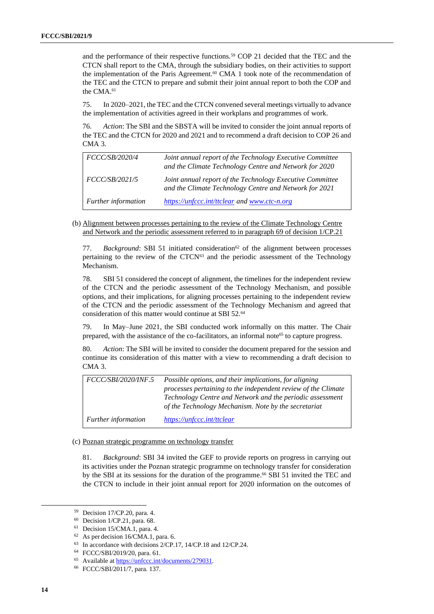and the performance of their respective functions.<sup>59</sup> COP 21 decided that the TEC and the CTCN shall report to the CMA, through the subsidiary bodies, on their activities to support the implementation of the Paris Agreement.<sup>60</sup> CMA 1 took note of the recommendation of the TEC and the CTCN to prepare and submit their joint annual report to both the COP and the CMA.<sup>61</sup>

75. In 2020–2021, the TEC and the CTCN convened several meetings virtually to advance the implementation of activities agreed in their workplans and programmes of work.

76. *Action*: The SBI and the SBSTA will be invited to consider the joint annual reports of the TEC and the CTCN for 2020 and 2021 and to recommend a draft decision to COP 26 and CMA 3.

| FCCC/SB/2020/4             | Joint annual report of the Technology Executive Committee<br>and the Climate Technology Centre and Network for 2020 |
|----------------------------|---------------------------------------------------------------------------------------------------------------------|
| FCCC/SB/2021/5             | Joint annual report of the Technology Executive Committee<br>and the Climate Technology Centre and Network for 2021 |
| <b>Further</b> information | https://unfccc.int/ttclear and www.ctc-n.org                                                                        |

(b) Alignment between processes pertaining to the review of the Climate Technology Centre and Network and the periodic assessment referred to in paragraph 69 of decision 1/CP.21

77. *Background*: SBI 51 initiated consideration<sup>62</sup> of the alignment between processes pertaining to the review of the  $CTCN<sup>63</sup>$  and the periodic assessment of the Technology Mechanism.

78. SBI 51 considered the concept of alignment, the timelines for the independent review of the CTCN and the periodic assessment of the Technology Mechanism, and possible options, and their implications, for aligning processes pertaining to the independent review of the CTCN and the periodic assessment of the Technology Mechanism and agreed that consideration of this matter would continue at SBI 52.<sup>64</sup>

79. In May–June 2021, the SBI conducted work informally on this matter. The Chair prepared, with the assistance of the co-facilitators, an informal note<sup>65</sup> to capture progress.

80. *Action*: The SBI will be invited to consider the document prepared for the session and continue its consideration of this matter with a view to recommending a draft decision to CMA 3.

| FCCC/SBI/2020/INF.5 | Possible options, and their implications, for aligning                                                            |
|---------------------|-------------------------------------------------------------------------------------------------------------------|
|                     | processes pertaining to the independent review of the Climate                                                     |
|                     | Technology Centre and Network and the periodic assessment<br>of the Technology Mechanism. Note by the secretariat |
| Further information | https://unfccc.int/ttclear                                                                                        |

#### (c) Poznan strategic programme on technology transfer

81. *Background*: SBI 34 invited the GEF to provide reports on progress in carrying out its activities under the Poznan strategic programme on technology transfer for consideration by the SBI at its sessions for the duration of the programme. <sup>66</sup> SBI 51 invited the TEC and the CTCN to include in their joint annual report for 2020 information on the outcomes of

<sup>59</sup> Decision 17/CP.20, para. 4.

<sup>60</sup> Decision 1/CP.21, para. 68.

<sup>61</sup> Decision 15/CMA.1, para. 4.

<sup>62</sup> As per decision 16/CMA.1, para. 6.

<sup>&</sup>lt;sup>63</sup> In accordance with decisions 2/CP.17, 14/CP.18 and 12/CP.24.

<sup>64</sup> FCCC/SBI/2019/20, para. 61.

<sup>65</sup> Available a[t https://unfccc.int/documents/279031](https://unfccc.int/documents/279031)*.* 

<sup>66</sup> FCCC/SBI/2011/7, para. 137.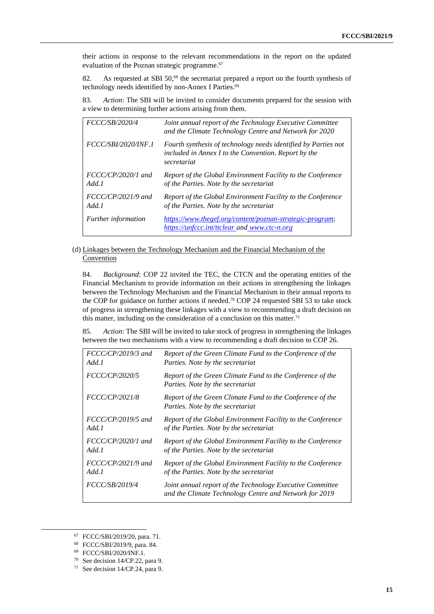their actions in response to the relevant recommendations in the report on the updated evaluation of the Poznan strategic programme.<sup>67</sup>

82. As requested at SBI 50, <sup>68</sup> the secretariat prepared a report on the fourth synthesis of technology needs identified by non-Annex I Parties. 69

83. *Action*: The SBI will be invited to consider documents prepared for the session with a view to determining further actions arising from them.

| FCCC/SB/2020/4                | Joint annual report of the Technology Executive Committee<br>and the Climate Technology Centre and Network for 2020                   |
|-------------------------------|---------------------------------------------------------------------------------------------------------------------------------------|
| <i>FCCC/SBI/2020/INF.1</i>    | Fourth synthesis of technology needs identified by Parties not<br>included in Annex I to the Convention. Report by the<br>secretariat |
| $FCCC/CP/2020/1$ and<br>Add.1 | Report of the Global Environment Facility to the Conference<br>of the Parties. Note by the secretariat                                |
| $FCCC/CP/2021/9$ and<br>Add.1 | Report of the Global Environment Facility to the Conference<br>of the Parties. Note by the secretariat                                |
| <i>Further information</i>    | https://www.thegef.org/content/poznan-strategic-program;<br>https://unfccc.int/ttclear and www.ctc-n.org                              |

#### (d) Linkages between the Technology Mechanism and the Financial Mechanism of the **Convention**

84. *Background*: COP 22 invited the TEC, the CTCN and the operating entities of the Financial Mechanism to provide information on their actions in strengthening the linkages between the Technology Mechanism and the Financial Mechanism in their annual reports to the COP for guidance on further actions if needed.<sup>70</sup> COP 24 requested SBI 53 to take stock of progress in strengthening these linkages with a view to recommending a draft decision on this matter, including on the consideration of a conclusion on this matter. 71

85. *Action*: The SBI will be invited to take stock of progress in strengthening the linkages between the two mechanisms with a view to recommending a draft decision to COP 26.

| $FCCC/CP/2019/3$ and  | Report of the Green Climate Fund to the Conference of the                                                           |
|-----------------------|---------------------------------------------------------------------------------------------------------------------|
| Add.1                 | Parties. Note by the secretariat                                                                                    |
| FCCC/CP/2020/5        | Report of the Green Climate Fund to the Conference of the<br>Parties. Note by the secretariat                       |
| <i>FCCC/CP/2021/8</i> | Report of the Green Climate Fund to the Conference of the<br>Parties. Note by the secretariat                       |
| $FCCC/CP/2019/5$ and  | Report of the Global Environment Facility to the Conference                                                         |
| Add.1                 | of the Parties. Note by the secretariat                                                                             |
| $FCCC/CP/2020/1$ and  | Report of the Global Environment Facility to the Conference                                                         |
| Add.1                 | of the Parties. Note by the secretariat                                                                             |
| $FCCC/CP/2021/9$ and  | Report of the Global Environment Facility to the Conference                                                         |
| Add.1                 | of the Parties. Note by the secretariat                                                                             |
| <i>FCCC/SB/2019/4</i> | Joint annual report of the Technology Executive Committee<br>and the Climate Technology Centre and Network for 2019 |

<sup>67</sup> FCCC/SBI/2019/20, para. 71.

<sup>68</sup> FCCC/SBI/2019/9, para. 84.

<sup>69</sup> FCCC/SBI/2020/INF.1.

<sup>70</sup> See decision 14/CP.22, para 9.

<sup>71</sup> See decision 14/CP.24, para 9.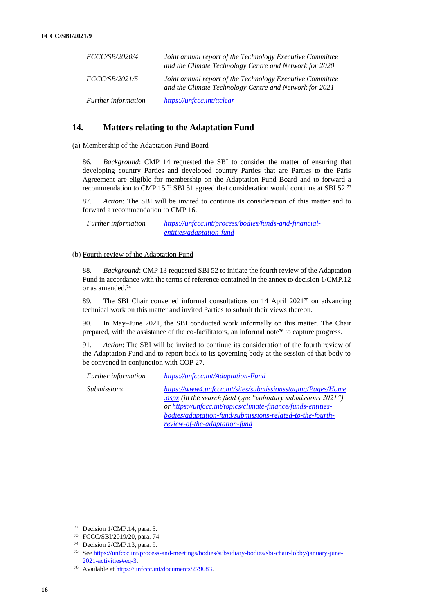| <i>FCCC/SB/2020/4</i>      | Joint annual report of the Technology Executive Committee<br>and the Climate Technology Centre and Network for 2020 |
|----------------------------|---------------------------------------------------------------------------------------------------------------------|
| <i>FCCC/SB/2021/5</i>      | Joint annual report of the Technology Executive Committee<br>and the Climate Technology Centre and Network for 2021 |
| <b>Further information</b> | https://unfccc.int/ttclear                                                                                          |

### **14. Matters relating to the Adaptation Fund**

#### (a) Membership of the Adaptation Fund Board

86. *Background*: CMP 14 requested the SBI to consider the matter of ensuring that developing country Parties and developed country Parties that are Parties to the Paris Agreement are eligible for membership on the Adaptation Fund Board and to forward a recommendation to CMP 15.<sup>72</sup> SBI 51 agreed that consideration would continue at SBI 52.<sup>73</sup>

87. *Action*: The SBI will be invited to continue its consideration of this matter and to forward a recommendation to CMP 16.

*Further information [https://unfccc.int/process/bodies/funds-and-financial](https://unfccc.int/process/bodies/funds-and-financial-entities/adaptation-fund)[entities/adaptation-fund](https://unfccc.int/process/bodies/funds-and-financial-entities/adaptation-fund)*

#### (b) Fourth review of the Adaptation Fund

88. *Background*: CMP 13 requested SBI 52 to initiate the fourth review of the Adaptation Fund in accordance with the terms of reference contained in the annex to decision 1/CMP.12 or as amended. 74

89. The SBI Chair convened informal consultations on  $14$  April 2021<sup>75</sup> on advancing technical work on this matter and invited Parties to submit their views thereon.

90. In May–June 2021, the SBI conducted work informally on this matter. The Chair prepared, with the assistance of the co-facilitators, an informal note<sup> $76$ </sup> to capture progress.

91. *Action*: The SBI will be invited to continue its consideration of the fourth review of the Adaptation Fund and to report back to its governing body at the session of that body to be convened in conjunction with COP 27.

| <b>Further</b> information | https://unfccc.int/Adaptation-Fund                                                                                                                                                                                                                                                                 |
|----------------------------|----------------------------------------------------------------------------------------------------------------------------------------------------------------------------------------------------------------------------------------------------------------------------------------------------|
| <i>Submissions</i>         | https://www4.unfccc.int/sites/submissionsstaging/Pages/Home<br>$\frac{1}{2}$ (in the search field type "voluntary submissions 2021")<br>or https://unfccc.int/topics/climate-finance/funds-entities-<br>bodies/adaptation-fund/submissions-related-to-the-fourth-<br>review-of-the-adaptation-fund |

<sup>72</sup> Decision 1/CMP.14, para. 5.

<sup>73</sup> FCCC/SBI/2019/20, para. 74.

<sup>74</sup> Decision 2/CMP.13, para. 9.

<sup>75</sup> Se[e https://unfccc.int/process-and-meetings/bodies/subsidiary-bodies/sbi-chair-lobby/january-june-](https://unfccc.int/process-and-meetings/bodies/subsidiary-bodies/sbi-chair-lobby/january-june-2021-activities#eq-3)[2021-activities#eq-3.](https://unfccc.int/process-and-meetings/bodies/subsidiary-bodies/sbi-chair-lobby/january-june-2021-activities#eq-3) 

<sup>76</sup> Available a[t https://unfccc.int/documents/279083.](https://unfccc.int/documents/279083)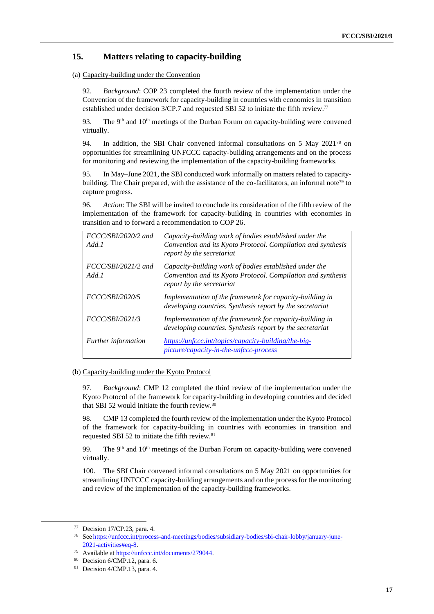### **15. Matters relating to capacity-building**

(a) Capacity-building under the Convention

92. *Background*: COP 23 completed the fourth review of the implementation under the Convention of the framework for capacity-building in countries with economies in transition established under decision 3/CP.7 and requested SBI 52 to initiate the fifth review.<sup>77</sup>

93. The  $9<sup>th</sup>$  and  $10<sup>th</sup>$  meetings of the Durban Forum on capacity-building were convened virtually.

94. In addition, the SBI Chair convened informal consultations on 5 May  $2021^{78}$  on opportunities for streamlining UNFCCC capacity-building arrangements and on the process for monitoring and reviewing the implementation of the capacity-building frameworks.

95. In May–June 2021, the SBI conducted work informally on matters related to capacitybuilding. The Chair prepared, with the assistance of the co-facilitators, an informal note<sup>79</sup> to capture progress.

96. *Action*: The SBI will be invited to conclude its consideration of the fifth review of the implementation of the framework for capacity-building in countries with economies in transition and to forward a recommendation to COP 26.

| FCCC/SBI/2020/2 and<br>Add.1  | Capacity-building work of bodies established under the<br>Convention and its Kyoto Protocol. Compilation and synthesis<br>report by the secretariat |
|-------------------------------|-----------------------------------------------------------------------------------------------------------------------------------------------------|
| $FCCCSBI/2021/2$ and<br>Add.1 | Capacity-building work of bodies established under the<br>Convention and its Kyoto Protocol. Compilation and synthesis<br>report by the secretariat |
| <i>FCCC/SBI/2020/5</i>        | Implementation of the framework for capacity-building in<br>developing countries. Synthesis report by the secretariat                               |
| FCCC/SBI/2021/3               | Implementation of the framework for capacity-building in<br>developing countries. Synthesis report by the secretariat                               |
| <i>Further information</i>    | https://unfccc.int/topics/capacity-building/the-big-<br>picture/capacity-in-the-unfccc-process                                                      |

#### (b) Capacity-building under the Kyoto Protocol

97. *Background*: CMP 12 completed the third review of the implementation under the Kyoto Protocol of the framework for capacity-building in developing countries and decided that SBI 52 would initiate the fourth review.<sup>80</sup>

98. CMP 13 completed the fourth review of the implementation under the Kyoto Protocol of the framework for capacity-building in countries with economies in transition and requested SBI 52 to initiate the fifth review.<sup>81</sup>

99. The  $9<sup>th</sup>$  and  $10<sup>th</sup>$  meetings of the Durban Forum on capacity-building were convened virtually.

100. The SBI Chair convened informal consultations on 5 May 2021 on opportunities for streamlining UNFCCC capacity-building arrangements and on the process for the monitoring and review of the implementation of the capacity-building frameworks.

<sup>77</sup> Decision 17/CP.23, para. 4.

<sup>78</sup> See [https://unfccc.int/process-and-meetings/bodies/subsidiary-bodies/sbi-chair-lobby/january-june-](https://unfccc.int/process-and-meetings/bodies/subsidiary-bodies/sbi-chair-lobby/january-june-2021-activities#eq-8)[2021-activities#eq-8.](https://unfccc.int/process-and-meetings/bodies/subsidiary-bodies/sbi-chair-lobby/january-june-2021-activities#eq-8)

Available a[t https://unfccc.int/documents/279044.](https://unfccc.int/documents/279044)

<sup>80</sup> Decision 6/CMP.12, para. 6.

 $81$  Decision 4/CMP.13, para. 4.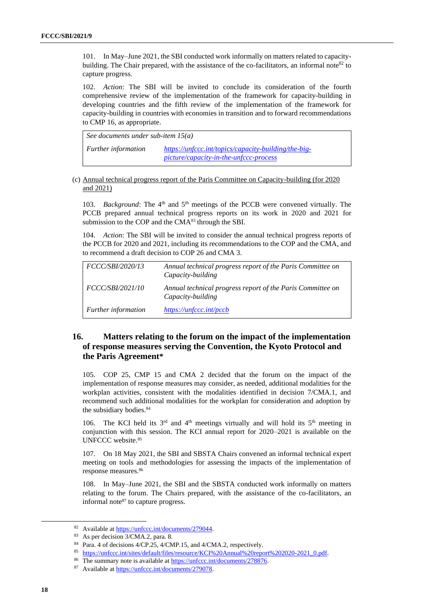101. In May–June 2021, the SBI conducted work informally on matters related to capacitybuilding. The Chair prepared, with the assistance of the co-facilitators, an informal note<sup>82</sup> to capture progress.

102. *Action*: The SBI will be invited to conclude its consideration of the fourth comprehensive review of the implementation of the framework for capacity-building in developing countries and the fifth review of the implementation of the framework for capacity-building in countries with economies in transition and to forward recommendations to CMP 16, as appropriate.

| See documents under sub-item $15(a)$ |                                                                                                       |
|--------------------------------------|-------------------------------------------------------------------------------------------------------|
| <i>Further information</i>           | https://unfccc.int/topics/capacity-building/the-big-<br><i>picture/capacity-in-the-unfccc-process</i> |

#### (c) Annual technical progress report of the Paris Committee on Capacity-building (for 2020 and 2021)

103. *Background*: The 4<sup>th</sup> and 5<sup>th</sup> meetings of the PCCB were convened virtually. The PCCB prepared annual technical progress reports on its work in 2020 and 2021 for submission to the COP and the CMA<sup>83</sup> through the SBI.

104. *Action*: The SBI will be invited to consider the annual technical progress reports of the PCCB for 2020 and 2021, including its recommendations to the COP and the CMA, and to recommend a draft decision to COP 26 and CMA 3.

| <i>FCCC/SBI/2020/13</i> | Annual technical progress report of the Paris Committee on<br>Capacity-building |
|-------------------------|---------------------------------------------------------------------------------|
| <i>FCCC/SBI/2021/10</i> | Annual technical progress report of the Paris Committee on<br>Capacity-building |
| Further information     | https://unfccc.int/pccb                                                         |

### **16. Matters relating to the forum on the impact of the implementation of response measures serving the Convention, the Kyoto Protocol and the Paris Agreement\***

105. COP 25, CMP 15 and CMA 2 decided that the forum on the impact of the implementation of response measures may consider, as needed, additional modalities for the workplan activities, consistent with the modalities identified in decision 7/CMA.1, and recommend such additional modalities for the workplan for consideration and adoption by the subsidiary bodies. 84

106. The KCI held its  $3<sup>rd</sup>$  and  $4<sup>th</sup>$  meetings virtually and will hold its  $5<sup>th</sup>$  meeting in conjunction with this session. The KCI annual report for 2020*–*2021 is available on the UNFCCC website.<sup>85</sup>

107. On 18 May 2021, the SBI and SBSTA Chairs convened an informal technical expert meeting on tools and methodologies for assessing the impacts of the implementation of response measures.<sup>86</sup>

108. In May–June 2021, the SBI and the SBSTA conducted work informally on matters relating to the forum. The Chairs prepared, with the assistance of the co-facilitators, an informal note<sup>87</sup> to capture progress.

<sup>82</sup> Available a[t https://unfccc.int/documents/279044.](https://unfccc.int/documents/279044)

<sup>83</sup> As per decision 3/CMA.2, para. 8.

<sup>&</sup>lt;sup>84</sup> Para. 4 of decisions 4/CP.25, 4/CMP.15, and 4/CMA.2, respectively.

<sup>85</sup> [https://unfccc.int/sites/default/files/resource/KCI%20Annual%20report%202020-2021\\_0.pdf.](https://unfccc.int/sites/default/files/resource/KCI%20Annual%20report%202020-2021_0.pdf)

<sup>86</sup> The summary note is available at [https://unfccc.int/documents/278876.](https://unfccc.int/documents/278876)

<sup>87</sup> Available a[t https://unfccc.int/documents/279078.](https://unfccc.int/documents/279078)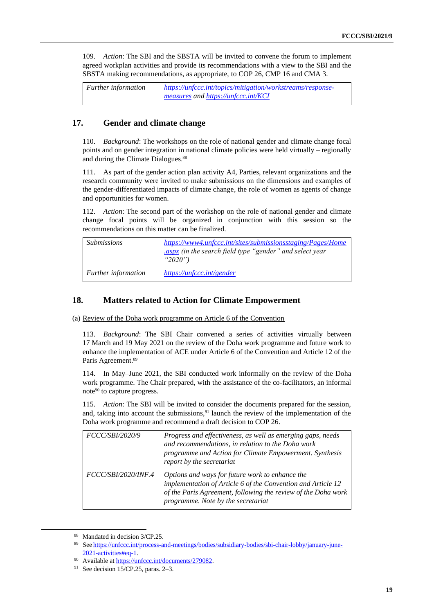109. *Action*: The SBI and the SBSTA will be invited to convene the forum to implement agreed workplan activities and provide its recommendations with a view to the SBI and the SBSTA making recommendations, as appropriate, to COP 26, CMP 16 and CMA 3.

| <b>Further information</b> | https://unfccc.int/topics/mitigation/workstreams/response- |
|----------------------------|------------------------------------------------------------|
|                            | measures and https://unfccc.int/KCI                        |

### **17. Gender and climate change**

110. *Background*: The workshops on the role of national gender and climate change focal points and on gender integration in national climate policies were held virtually – regionally and during the Climate Dialogues. 88

111. As part of the gender action plan activity A4, Parties, relevant organizations and the research community were invited to make submissions on the dimensions and examples of the gender-differentiated impacts of climate change, the role of women as agents of change and opportunities for women.

112. *Action*: The second part of the workshop on the role of national gender and climate change focal points will be organized in conjunction with this session so the recommendations on this matter can be finalized.

| <i>Submissions</i>         | https://www4.unfccc.int/sites/submissionsstaging/Pages/Home<br>aspx (in the search field type "gender" and select year.<br>" $2020$ ") |
|----------------------------|----------------------------------------------------------------------------------------------------------------------------------------|
| <i>Further information</i> | https://unfccc.int/gender                                                                                                              |

### **18. Matters related to Action for Climate Empowerment**

(a) Review of the Doha work programme on Article 6 of the Convention

113. *Background*: The SBI Chair convened a series of activities virtually between 17 March and 19 May 2021 on the review of the Doha work programme and future work to enhance the implementation of ACE under Article 6 of the Convention and Article 12 of the Paris Agreement.<sup>89</sup>

114. In May–June 2021, the SBI conducted work informally on the review of the Doha work programme. The Chair prepared, with the assistance of the co-facilitators, an informal note<sup>90</sup> to capture progress.

115. *Action*: The SBI will be invited to consider the documents prepared for the session, and, taking into account the submissions,  $91$  launch the review of the implementation of the Doha work programme and recommend a draft decision to COP 26.

| FCCC/SBI/2020/9     | Progress and effectiveness, as well as emerging gaps, needs<br>and recommendations, in relation to the Doha work<br>programme and Action for Climate Empowerment. Synthesis<br>report by the secretariat               |
|---------------------|------------------------------------------------------------------------------------------------------------------------------------------------------------------------------------------------------------------------|
| FCCC/SBI/2020/INF.4 | Options and ways for future work to enhance the<br>implementation of Article 6 of the Convention and Article 12<br>of the Paris Agreement, following the review of the Doha work<br>programme. Note by the secretariat |

<sup>88</sup> Mandated in decision 3/CP.25.

<sup>89</sup> See [https://unfccc.int/process-and-meetings/bodies/subsidiary-bodies/sbi-chair-lobby/january-june-](https://unfccc.int/process-and-meetings/bodies/subsidiary-bodies/sbi-chair-lobby/january-june-2021-activities#eq-1)[2021-activities#eq-1.](https://unfccc.int/process-and-meetings/bodies/subsidiary-bodies/sbi-chair-lobby/january-june-2021-activities#eq-1) 

Available a[t https://unfccc.int/documents/279082.](https://unfccc.int/documents/279082)

 $91$  See decision 15/CP.25, paras. 2–3.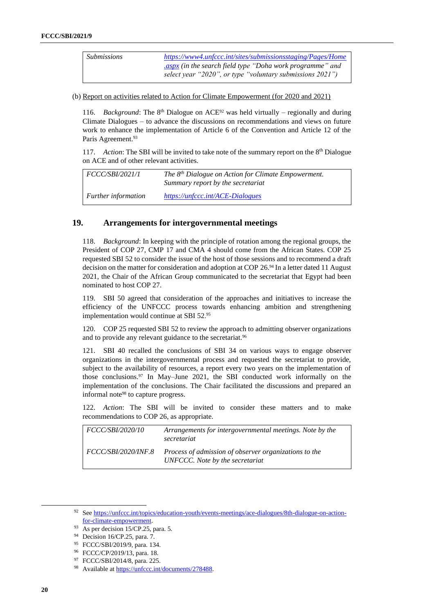*Submissions [https://www4.unfccc.int/sites/submissionsstaging/Pages/Home](https://www4.unfccc.int/sites/submissionsstaging/Pages/Home.aspx) [.aspx](https://www4.unfccc.int/sites/submissionsstaging/Pages/Home.aspx) (in the search field type "Doha work programme" and select year "2020", or type "voluntary submissions 2021")*

(b) Report on activities related to Action for Climate Empowerment (for 2020 and 2021)

116. *Background*: The 8th Dialogue on ACE<sup>92</sup> was held virtually – regionally and during Climate Dialogues – to advance the discussions on recommendations and views on future work to enhance the implementation of Article 6 of the Convention and Article 12 of the Paris Agreement.<sup>93</sup>

117. Action: The SBI will be invited to take note of the summary report on the 8<sup>th</sup> Dialogue on ACE and of other relevant activities.

| <i>FCCC/SBI/2021/1</i>     | The $8th$ Dialogue on Action for Climate Empowerment.<br>Summary report by the secretariat |
|----------------------------|--------------------------------------------------------------------------------------------|
| <i>Further information</i> | https://unfccc.int/ACE-Dialogues                                                           |

### **19. Arrangements for intergovernmental meetings**

118. *Background*: In keeping with the principle of rotation among the regional groups, the President of COP 27, CMP 17 and CMA 4 should come from the African States. COP 25 requested SBI 52 to consider the issue of the host of those sessions and to recommend a draft decision on the matter for consideration and adoption at COP 26.<sup>94</sup> In a letter dated 11 August 2021, the Chair of the African Group communicated to the secretariat that Egypt had been nominated to host COP 27.

119. SBI 50 agreed that consideration of the approaches and initiatives to increase the efficiency of the UNFCCC process towards enhancing ambition and strengthening implementation would continue at SBI 52. 95

120. COP 25 requested SBI 52 to review the approach to admitting observer organizations and to provide any relevant guidance to the secretariat.<sup>96</sup>

121. SBI 40 recalled the conclusions of SBI 34 on various ways to engage observer organizations in the intergovernmental process and requested the secretariat to provide, subject to the availability of resources, a report every two years on the implementation of those conclusions.<sup>97</sup> In May–June 2021, the SBI conducted work informally on the implementation of the conclusions. The Chair facilitated the discussions and prepared an informal note<sup>98</sup> to capture progress.

122. *Action*: The SBI will be invited to consider these matters and to make recommendations to COP 26, as appropriate.

| <i>FCCC/SBI/2020/10</i>    | Arrangements for intergovernmental meetings. Note by the<br>secretariat                  |
|----------------------------|------------------------------------------------------------------------------------------|
| <i>FCCC/SBI/2020/INF.8</i> | Process of admission of observer organizations to the<br>UNFCCC. Note by the secretariat |

<sup>92</sup> Se[e https://unfccc.int/topics/education-youth/events-meetings/ace-dialogues/8th-dialogue-on-action](https://unfccc.int/topics/education-youth/events-meetings/ace-dialogues/8th-dialogue-on-action-for-climate-empowerment)[for-climate-empowerment.](https://unfccc.int/topics/education-youth/events-meetings/ace-dialogues/8th-dialogue-on-action-for-climate-empowerment)

<sup>93</sup> As per decision 15/CP.25, para. 5.

<sup>94</sup> Decision 16/CP.25, para. 7.

<sup>95</sup> FCCC/SBI/2019/9, para. 134.

<sup>96</sup> FCCC/CP/2019/13, para. 18.

<sup>97</sup> FCCC/SBI/2014/8, para. 225.

<sup>98</sup> Available a[t https://unfccc.int/documents/278488.](https://unfccc.int/documents/278488)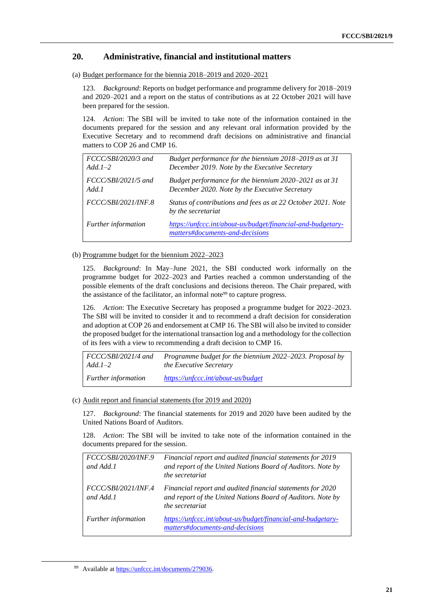### **20. Administrative, financial and institutional matters**

(a) Budget performance for the biennia 2018–2019 and 2020–2021

123. *Background*: Reports on budget performance and programme delivery for 2018–2019 and 2020–2021 and a report on the status of contributions as at 22 October 2021 will have been prepared for the session.

124. *Action*: The SBI will be invited to take note of the information contained in the documents prepared for the session and any relevant oral information provided by the Executive Secretary and to recommend draft decisions on administrative and financial matters to COP 26 and CMP 16.

| FCCC/SBI/2020/3 and<br>$Add.1-2$ | Budget performance for the biennium 2018–2019 as at 31<br>December 2019. Note by the Executive Secretary |
|----------------------------------|----------------------------------------------------------------------------------------------------------|
| $FCCC/SBI/2021/5$ and<br>Add.1   | Budget performance for the biennium 2020–2021 as at 31<br>December 2020. Note by the Executive Secretary |
| <i>FCCC/SBI/2021/INF.8</i>       | Status of contributions and fees as at 22 October 2021. Note<br>by the secretariat                       |
| Further information              | https://unfccc.int/about-us/budget/financial-and-budgetary-<br>matters#documents-and-decisions           |

#### (b) Programme budget for the biennium 2022–2023

125. *Background*: In May–June 2021, the SBI conducted work informally on the programme budget for 2022–2023 and Parties reached a common understanding of the possible elements of the draft conclusions and decisions thereon. The Chair prepared, with the assistance of the facilitator, an informal note<sup>99</sup> to capture progress.

126. *Action*: The Executive Secretary has proposed a programme budget for 2022–2023. The SBI will be invited to consider it and to recommend a draft decision for consideration and adoption at COP 26 and endorsement at CMP 16. The SBI will also be invited to consider the proposed budget for the international transaction log and a methodology for the collection of its fees with a view to recommending a draft decision to CMP 16.

| FCCC/SBI/2021/4 and        | <i>Programme budget for the biennium 2022–2023. Proposal by</i> |
|----------------------------|-----------------------------------------------------------------|
| $Add. 1-2$                 | <i>the Executive Secretary</i>                                  |
| <i>Further information</i> | https://unfccc.int/about-us/budget                              |

#### (c) Audit report and financial statements (for 2019 and 2020)

127. *Background*: The financial statements for 2019 and 2020 have been audited by the United Nations Board of Auditors.

128. *Action*: The SBI will be invited to take note of the information contained in the documents prepared for the session.

| FCCC/SBI/2020/INF.9<br>and Add.1        | Financial report and audited financial statements for 2019<br>and report of the United Nations Board of Auditors. Note by<br>the secretariat |
|-----------------------------------------|----------------------------------------------------------------------------------------------------------------------------------------------|
| <i>FCCC/SBI/2021/INF.4</i><br>and Add.1 | Financial report and audited financial statements for 2020<br>and report of the United Nations Board of Auditors. Note by<br>the secretariat |
| Further information                     | https://unfccc.int/about-us/budget/financial-and-budgetary-<br>matters#documents-and-decisions                                               |

<sup>99</sup> Available a[t https://unfccc.int/documents/279036.](https://unfccc.int/documents/279036)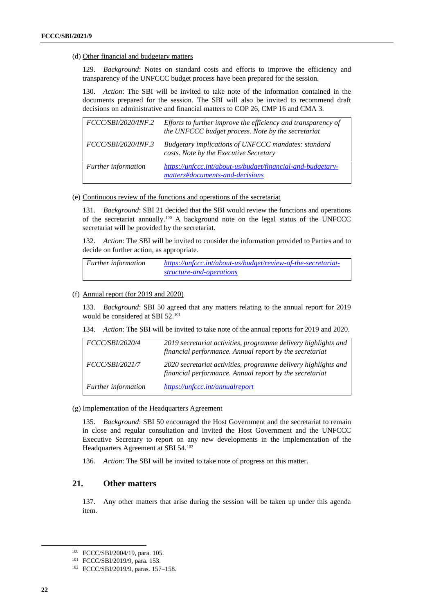#### (d) Other financial and budgetary matters

129. *Background*: Notes on standard costs and efforts to improve the efficiency and transparency of the UNFCCC budget process have been prepared for the session.

130. *Action*: The SBI will be invited to take note of the information contained in the documents prepared for the session. The SBI will also be invited to recommend draft decisions on administrative and financial matters to COP 26, CMP 16 and CMA 3.

| <i>FCCC/SBI/2020/INF.2</i> | Efforts to further improve the efficiency and transparency of<br>the UNFCCC budget process. Note by the secretariat |
|----------------------------|---------------------------------------------------------------------------------------------------------------------|
| FCCC/SBI/2020/INF.3        | Budgetary implications of UNFCCC mandates: standard<br>costs. Note by the Executive Secretary                       |
| Further information        | https://unfccc.int/about-us/budget/financial-and-budgetary-<br>matters#documents-and-decisions                      |

#### (e) Continuous review of the functions and operations of the secretariat

131. *Background*: SBI 21 decided that the SBI would review the functions and operations of the secretariat annually.<sup>100</sup> A background note on the legal status of the UNFCCC secretariat will be provided by the secretariat.

132. *Action*: The SBI will be invited to consider the information provided to Parties and to decide on further action, as appropriate.

*Further information [https://unfccc.int/about-us/budget/review-of-the-secretariat](https://unfccc.int/about-us/budget/review-of-the-secretariat-structure-and-operations)[structure-and-operations](https://unfccc.int/about-us/budget/review-of-the-secretariat-structure-and-operations)*

#### (f) Annual report (for 2019 and 2020)

133. *Background*: SBI 50 agreed that any matters relating to the annual report for 2019 would be considered at SBI 52.<sup>101</sup>

#### 134. *Action*: The SBI will be invited to take note of the annual reports for 2019 and 2020.

| <i>FCCC/SBI/2020/4</i>     | 2019 secretariat activities, programme delivery highlights and<br>financial performance. Annual report by the secretariat |
|----------------------------|---------------------------------------------------------------------------------------------------------------------------|
| <i>FCCC/SBI/2021/7</i>     | 2020 secretariat activities, programme delivery highlights and<br>financial performance. Annual report by the secretariat |
| <b>Further</b> information | https://unfccc.int/annualreport                                                                                           |

#### (g) Implementation of the Headquarters Agreement

135. *Background*: SBI 50 encouraged the Host Government and the secretariat to remain in close and regular consultation and invited the Host Government and the UNFCCC Executive Secretary to report on any new developments in the implementation of the Headquarters Agreement at SBI 54.<sup>102</sup>

136. *Action*: The SBI will be invited to take note of progress on this matter.

#### **21. Other matters**

137. Any other matters that arise during the session will be taken up under this agenda item.

<sup>100</sup> FCCC/SBI/2004/19, para. 105.

<sup>101</sup> FCCC/SBI/2019/9, para. 153.

<sup>102</sup> FCCC/SBI/2019/9, paras. 157–158.